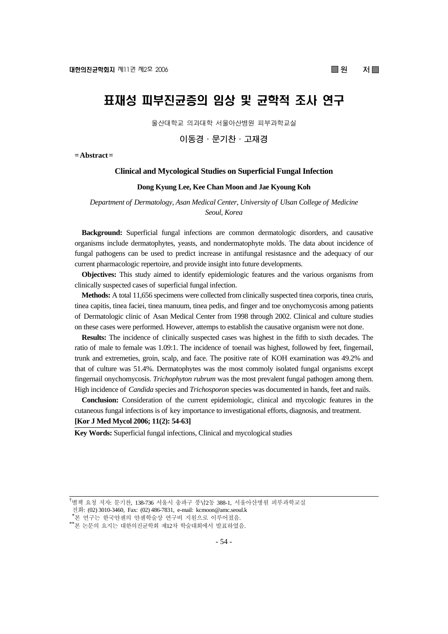# 표재성 피부진균증의 임상 및 균학적 조사 연구

울산대학교 의과대학 서울아산병원 피부과학교실

**이동경·문기찬·고재경**

**= Abstract =** 

#### **Clinical and Mycological Studies on Superficial Fungal Infection**

#### **Dong Kyung Lee, Kee Chan Moon and Jae Kyoung Koh**

*Department of Dermatology, Asan Medical Center, University of Ulsan College of Medicine Seoul, Korea* 

**Background:** Superficial fungal infections are common dermatologic disorders, and causative organisms include dermatophytes, yeasts, and nondermatophyte molds. The data about incidence of fungal pathogens can be used to predict increase in antifungal resistasnce and the adequacy of our current pharmacologic repertoire, and provide insight into future developments.

**Objectives:** This study aimed to identify epidemiologic features and the various organisms from clinically suspected cases of superficial fungal infection.

**Methods:** A total 11,656 specimens were collected from clinically suspected tinea corporis, tinea cruris, tinea capitis, tinea faciei, tinea manuum, tinea pedis, and finger and toe onychomycosis among patients of Dermatologic clinic of Asan Medical Center from 1998 through 2002. Clinical and culture studies on these cases were performed. However, attemps to establish the causative organism were not done.

**Results:** The incidence of clinically suspected cases was highest in the fifth to sixth decades. The ratio of male to female was 1.09:1. The incidence of toenail was highest, followed by feet, fingernail, trunk and extremeties, groin, scalp, and face. The positive rate of KOH examination was 49.2% and that of culture was 51.4%. Dermatophytes was the most commoly isolated fungal organisms except fingernail onychomycosis. *Trichophyton rubrum* was the most prevalent fungal pathogen among them. High incidence of *Candida* species and *Trichosporon* species was documented in hands, feet and nails.

**Conclusion:** Consideration of the current epidemiologic, clinical and mycologic features in the cutaneous fungal infections is of key importance to investigational efforts, diagnosis, and treatment. **[Kor J Med Mycol 2006; 11(2): 54-63]**

**Key Words:** Superficial fungal infections, Clinical and mycological studies

<sup>&</sup>lt;sup>†</sup>별책 요청 저자: 문기찬, 138-736 서울시 송파구 풍납2동 388-1, 서울아산병원 피부과학교실

전화: (02) 3010-3460, Fax: (02) 486-7831, e-mail: kcmoon@amc.seoul.k

<sup>&</sup>lt;sup>\*</sup>본 연구는 한국얀센의 얀센학술상 연구비 지원으로 이루어졌음.<br>\*\*본 논문의 요지는 대한의진균학회 제12차 학술대회에서 발표하였음.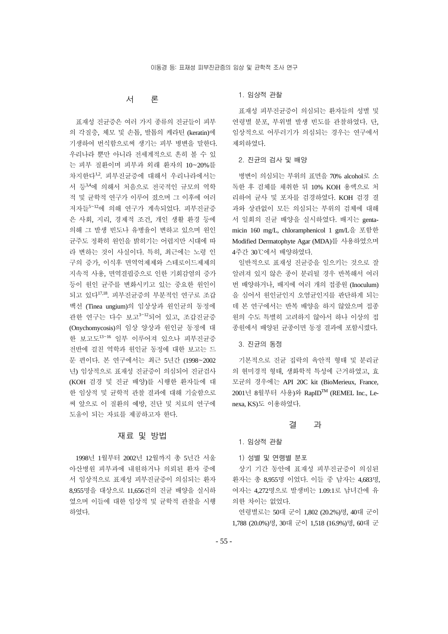# 서 론

표재성 진균증은 여러 가지 종류의 진균들이 피부 의 각질층, 체모 및 손톱, 발톱의 케라틴 (keratin)에 기생하여 번식함으로써 생기는 피부 병변을 말한다. 우리나라 뿐만 아니라 전세계적으로 흔히 볼 수 있 는 피부 질환이며 피부과 외래 환자의 10~20%를 차지한다1,2. 피부진균증에 대해서 우리나라에서는 서 등3,4에 의해서 처음으로 전국적인 규모의 역학 적 및 균학적 연구가 이루어 졌으며 그 이후에 여러 저자들<sup>5</sup>~<sup>12</sup>에 의해 연구가 계속되었다. 피부진균증 은 사회, 지리, 경제적 조건, 개인 생활 환경 등에 의해 그 발생 빈도나 유병율이 변하고 있으며 원인 균주도 정확히 원인을 밝히기는 어렵지만 시대에 따 라 변하는 것이 사실이다. 특히, 최근에는 노령 인 구의 증가, 이식후 면역억제제와 스테로이드제제의 지속적 사용, 면역결핍증으로 인한 기회감염의 증가 등이 원인 균주를 변화시키고 있는 중요한 원인이 되고 있다17,18. 피부진균증의 부분적인 연구로 조갑 백선 (Tinea ungium)의 임상상과 원인균의 동정에 관한 연구는 다수 보고<sup>3</sup>~<sup>12</sup>되어 있고, 조갑진균증 (Onychomycosis)의 임상 양상과 원인균 동정에 대 한 보고도<sup>13</sup>~<sup>16</sup> 일부 이루어져 있으나 피부진균증 전반에 걸친 역학과 원인균 동정에 대한 보고는 드 문 편이다. 본 연구에서는 최근 5년간 (1998~2002 년) 임상적으로 표재성 진균증이 의심되어 진균검사 (KOH 검경 및 진균 배양)를 시행한 환자들에 대 한 임상적 및 균학적 관찰 결과에 대해 기술함으로 써 앞으로 이 질환의 예방, 진단 및 치료의 연구에 도움이 되는 자료를 제공하고자 한다.

# 재료 및 방법

1998년 1월부터 2002년 12월까지 총 5년간 서울 아산병원 피부과에 내원하거나 의뢰된 환자 중에 서 임상적으로 표재성 피부진균증이 의심되는 환자 8,955명을 대상으로 11,656건의 진균 배양을 실시하 였으며 이들에 대한 임상적 및 균학적 관찰을 시행 하였다.

#### 1. 임상적 관찰

표재성 피부진균증이 의심되는 환자들의 성별 및 연령별 분포, 부위별 발생 빈도를 관찰하였다. 단, 임상적으로 어루러기가 의심되는 경우는 연구에서 제외하였다.

#### 2. 진균의 검사 및 배양

병변이 의심되는 부위의 표면을 70% alcohol로 소 독한 후 검체를 채취한 뒤 10% KOH 용액으로 처 리하여 균사 및 포자를 검경하였다. KOH 검경 결 과와 상관없이 모든 의심되는 부위의 검체에 대해 서 일회의 진균 배양을 실시하였다. 배지는 gentamicin 160 mg/L, chloramphenicol 1 gm/L을 포함한 Modified Dermatophyte Agar (MDA)를 사용하였으며 4주간 30℃에서 배양하였다.

일반적으로 표재성 진균증을 일으키는 것으로 잘 알려져 있지 않은 종이 분리될 경우 반복해서 여러 번 배양하거나, 배지에 여러 개의 접종원 (Inoculum) 을 심어서 원인균인지 오염균인지를 판단하게 되는 데 본 연구에서는 반복 배양을 하지 않았으며 접종 원의 수도 특별히 고려하지 않아서 하나 이상의 접 종원에서 배양된 균종이면 동정 결과에 포함시켰다.

#### 3. 진균의 동정

기본적으로 진균 집락의 육안적 형태 및 분리균 의 현미경적 형태, 생화학적 특성에 근거하였고, 효 모균의 경우에는 API 20C kit (BioMerieux, France, 2001년 8월부터 사용)와 RapIDTM (REMEL Inc., Lenexa, KS)도 이용하였다.

#### 결 과

1. 임상적 관찰

1) 성별 및 연령별 분포

상기 기간 동안에 표재성 피부진균증이 의심된 환자는 총 8,955명 이었다. 이들 중 남자는 4,683명, 여자는 4,272명으로 발생비는 1.09:1로 남녀간에 유 의한 차이는 없었다.

연령별로는 50대 군이 1,802 (20.2%)명, 40대 군이 1,788 (20.0%)명, 30대 군이 1,518 (16.9%)명, 60대 군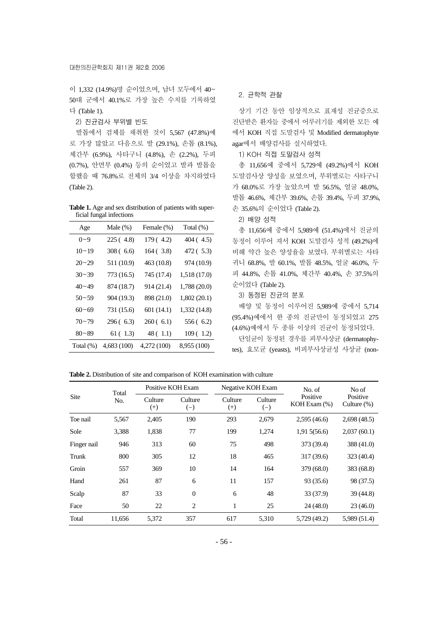이 1,332 (14.9%)명 순이었으며, 남녀 모두에서 40~ 50대 군에서 40.1%로 가장 높은 수치를 기록하였 다 (Table 1).

2) 진균검사 부위별 빈도

발톱에서 검체를 채취한 것이 5,567 (47.8%)예 로 가장 많았고 다음으로 발 (29.1%), 손톱 (8.1%), 체간부 (6.9%), 사타구니 (4.8%), 손 (2.2%), 두피 (0.7%), 안면부 (0.4%) 등의 순이었고 발과 발톱을 합했을 때 76.8%로 전체의 3/4 이상을 차지하였다 (Table 2).

**Table 1.** Age and sex distribution of patients with superficial fungal infections

| Age          | Male $(\%)$ | Female (%)  | Total (%)    |
|--------------|-------------|-------------|--------------|
| $0 - 9$      | 225 (4.8)   | 179 (4.2)   | 404 (4.5)    |
| $10 - 19$    | 308 (6.6)   | 164 (3.8)   | 472 (5.3)    |
| $20 - 29$    | 511 (10.9)  | 463 (10.8)  | 974 (10.9)   |
| $30 - 39$    | 773 (16.5)  | 745 (17.4)  | 1,518 (17.0) |
| 40~49        | 874 (18.7)  | 914 (21.4)  | 1,788 (20.0) |
| $50 - 59$    | 904 (19.3)  | 898 (21.0)  | 1,802 (20.1) |
| $60 - 69$    | 731 (15.6)  | 601 (14.1)  | 1,332 (14.8) |
| $70 - 79$    | 296 (6.3)   | 260(6.1)    | 556 (6.2)    |
| $80 - 89$    | 61(1.3)     | 48(1.1)     | 109(1.2)     |
| Total $(\%)$ | 4,683 (100) | 4,272 (100) | 8,955 (100)  |

#### 2. 균학적 관찰

상기 기간 동안 임상적으로 표재성 진균증으로 진단받은 환자들 중에서 어루러기를 제외한 모든 예 에서 KOH 직접 도말검사 및 Modified dermatophyte agar에서 배양검사를 실시하였다.

1) KOH 직접 도말검사 성적

총 11,656예 중에서 5,729예 (49.2%)에서 KOH 도말검사상 양성을 보였으며, 부위별로는 사타구니 가 68.0%로 가장 높았으며 발 56.5%, 얼굴 48.0%, 발톱 46.6%, 체간부 39.6%, 손톱 39.4%, 두피 37.9%, 손 35.6%의 순이었다 (Table 2).

2) 배양 성적

총 11,656예 중에서 5,989예 (51.4%)에서 진균의 동정이 이루어 져서 KOH 도말검사 성적 (49.2%)에 비해 약간 높은 양성율을 보였다. 부위별로는 사타 귀니 68.8%, 발 60.1%, 발톱 48.5%, 얼굴 46.0%, 두 피 44.8%, 손톱 41.0%, 체간부 40.4%, 손 37.5%의 순이었다 (Table 2).

3) 동정된 진균의 분포

배양 및 동정이 이루어진 5,989예 중에서 5,714 (95.4%)예에서 한 종의 진균만이 동정되었고 275 (4.6%)예에서 두 종류 이상의 진균이 동정되었다.

단일균이 동정된 경우를 피부사상균 (dermatophytes), 효모균 (yeasts), 비피부사상균성 사상균 (non-

Table 2. Distribution of site and comparison of KOH examination with culture

| Site        | Total  | Positive KOH Exam   |                  |                     | Negative KOH Exam | No. of                         | No of                      |
|-------------|--------|---------------------|------------------|---------------------|-------------------|--------------------------------|----------------------------|
|             | No.    | Culture<br>$^{(+)}$ | Culture<br>$(-)$ | Culture<br>$^{(+)}$ | Culture<br>$(-)$  | Positive<br>$KOH$ Exam $(\% )$ | Positive<br>Culture $(\%)$ |
| Toe nail    | 5,567  | 2,405               | 190              | 293                 | 2,679             | 2,595(46.6)                    | 2,698(48.5)                |
| Sole        | 3,388  | 1,838               | 77               | 199                 | 1.274             | 1,915(56.6)                    | 2,037(60.1)                |
| Finger nail | 946    | 313                 | 60               | 75                  | 498               | 373 (39.4)                     | 388 (41.0)                 |
| Trunk       | 800    | 305                 | 12               | 18                  | 465               | 317 (39.6)                     | 323 (40.4)                 |
| Groin       | 557    | 369                 | 10               | 14                  | 164               | 379(68.0)                      | 383(68.8)                  |
| Hand        | 261    | 87                  | 6                | 11                  | 157               | 93 (35.6)                      | 98 (37.5)                  |
| Scalp       | 87     | 33                  | $\mathbf{0}$     | 6                   | 48                | 33 (37.9)                      | 39(44.8)                   |
| Face        | 50     | 22                  | 2                | 1                   | 25                | 24(48.0)                       | 23(46.0)                   |
| Total       | 11,656 | 5,372               | 357              | 617                 | 5,310             | 5,729 (49.2)                   | 5,989 (51.4)               |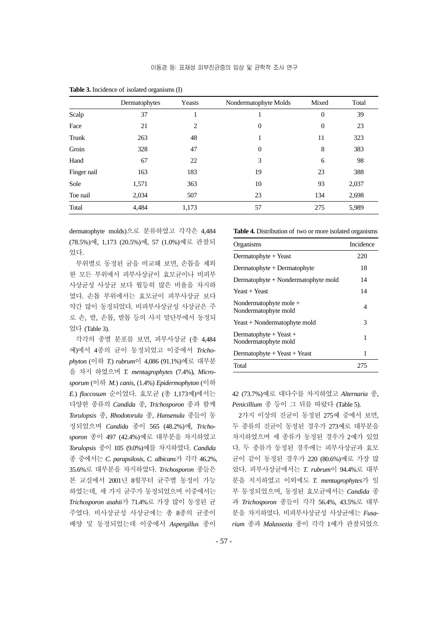|             | Dermatophytes | Yeasts | Nondermatophyte Molds | Mixed          | Total |
|-------------|---------------|--------|-----------------------|----------------|-------|
| Scalp       | 37            | -1     | 1                     | $\overline{0}$ | 39    |
| Face        | 21            | 2      | $\boldsymbol{0}$      | $\overline{0}$ | 23    |
| Trunk       | 263           | 48     | 1                     | 11             | 323   |
| Groin       | 328           | 47     | $\boldsymbol{0}$      | 8              | 383   |
| Hand        | 67            | 22     | 3                     | 6              | 98    |
| Finger nail | 163           | 183    | 19                    | 23             | 388   |
| Sole        | 1,571         | 363    | 10                    | 93             | 2,037 |
| Toe nail    | 2,034         | 507    | 23                    | 134            | 2,698 |
| Total       | 4,484         | 1,173  | 57                    | 275            | 5,989 |

**Table 3.** Incidence of isolated organisms (I)

dermatophyte molds)으로 분류하였고 각각은 4,484 (78.5%)예, 1,173 (20.5%)예, 57 (1.0%)예로 관찰되 었다.

부위별로 동정된 균을 비교해 보면, 손톱을 제외 한 모든 부위에서 피부사상균이 효모균이나 비피부 사상균성 사상균 보다 월등히 많은 비율을 차지하 였다. 손톱 부위에서는 효모균이 피부사상균 보다 약간 많이 동정되었다. 비피부사상균성 사상균은 주 로 손, 발, 손톱, 발톱 등의 사지 말단부에서 동정되 었다 (Table 3).

각각의 종별 분포를 보면, 피부사상균 (총 4,484 예)에서 4종의 균이 동정되었고 이중에서 *Trichophyton* (이하 *T.*) *rubrum*이 4,086 (91.1%)예로 대부분 을 차지 하였으며 *T. mentagrophytes* (7.4%), *Microsporum* (이하 *M.*) *canis*, (1.4%) *Epidermophyton* (이하 *E.*) *floccosum* 순이었다. 효모균 (총 1,173예)에서는 다양한 종류의 *Candida* 종, *Trichosporon* 종과 함께 *Torulopsis* 종, *Rhodotorula* 종, *Hansenula* 종들이 동 정되었으며 *Candida* 종이 565 (48.2%)예, *Trichosporon* 종이 497 (42.4%)예로 대부분을 차지하였고 *Torulopsis* 종이 105 (9.0%)예를 차지하였다. *Candida* 종 중에서는 *C. parapsilosis*, *C. albicans*가 각각 46.2%, 35.6%로 대부분을 차지하였다. *Trichosporon* 종들은 본 교실에서 2001년 8월부터 균주별 동정이 가능 하였는데, 세 가지 균주가 동정되었으며 이중에서는 *Trichosporon asahii*가 71.4%로 가장 많이 동정된 균 주였다. 비사상균성 사상균에는 총 8종의 균종이 배양 및 동정되었는데 이중에서 *Aspergillus* 종이

#### **Table 4.** Distribution of two or more isolated organisms

| Organisms                                      | Incidence |
|------------------------------------------------|-----------|
| Dermatophyte + Yeast                           | 220       |
| $Dermatophyte + Dermatophyte$                  | 18        |
| Dermatophyte + Nondermatophyte mold            | 14        |
| $Year + Years$                                 | 14        |
| Nondermatophyte mole +<br>Nondermatophyte mold | 4         |
| Yeast + Nondermatophyte mold                   | 3         |
| Dermatophyte + Yeast +<br>Nondermatophyte mold | 1         |
| Dermatophyte + Yeast + Yeast                   | 1         |
| Total                                          | 275       |

42 (73.7%)예로 대다수를 차지하였고 *Alternaria* 종, *Penicillium* 종 등이 그 뒤를 따랐다 (Table 5).

2가지 이상의 진균이 동정된 275예 중에서 보면, 두 종류의 진균이 동정된 경우가 273예로 대부분을 차지하였으며 세 종류가 동정된 경우가 2예가 있었 다. 두 종류가 동정된 경우에는 피부사상균과 효모 균이 같이 동정된 경우가 220 (80.6%)예로 가장 많 았다. 피부사상균에서는 *T. rubrum*이 94.4%로 대부 분을 치지하였고 이외에도 *T. mentagrophytes*가 일 부 동정되었으며, 동정된 효모균에서는 *Candida* 종 과 *Trichosporon* 종들이 각각 56.4%, 43.5%로 대부 분을 차지하였다. 비피부사상균성 사상균에는 *Fusarium* 종과 *Malassezia* 종이 각각 1예가 관찰되었으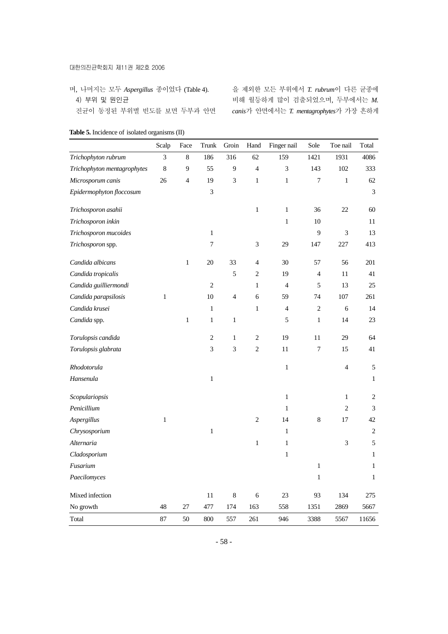#### 대한의진균학회지 제11권 제2호 2006

며, 나머지는 모두 *Aspergillus* 종이었다 (Table 4). 4) 부위 및 원인균 진균이 동정된 부위별 빈도를 보면 두부과 안면 을 제외한 모든 부위에서 *T. rubrum*이 다른 균종에 비해 월등하게 많이 검출되었으며, 두부에서는 *M. canis*가 안면에서는 *T. mentagrophytes*가 가장 흔하게

|                             | Scalp        | Face         | Trunk            | Groin                       | Hand           | Finger nail    | Sole             | Toe nail                    | Total          |
|-----------------------------|--------------|--------------|------------------|-----------------------------|----------------|----------------|------------------|-----------------------------|----------------|
| Trichophyton rubrum         | 3            | $\,8\,$      | 186              | 316                         | 62             | 159            | 1421             | 1931                        | 4086           |
| Trichophyton mentagrophytes | $\,8\,$      | 9            | 55               | 9                           | $\overline{4}$ | 3              | 143              | 102                         | 333            |
| Microsporum canis           | 26           | 4            | 19               | $\ensuremath{\mathfrak{Z}}$ | $\mathbf{1}$   | $\mathbf{1}$   | $\boldsymbol{7}$ | $\,1$                       | 62             |
| Epidermophyton floccosum    |              |              | $\mathfrak{Z}$   |                             |                |                |                  |                             | $\mathfrak{Z}$ |
| Trichosporon asahii         |              |              |                  |                             | $\,1$          | $\mathbf{1}$   | 36               | $22\,$                      | 60             |
| Trichosporon inkin          |              |              |                  |                             |                | $\mathbf{1}$   | 10               |                             | 11             |
| Trichosporon mucoides       |              |              | $\,1$            |                             |                |                | 9                | $\ensuremath{\mathfrak{Z}}$ | 13             |
| Trichosporon spp.           |              |              | $\boldsymbol{7}$ |                             | $\mathfrak{Z}$ | 29             | 147              | 227                         | 413            |
| Candida albicans            |              | $\,1$        | 20               | 33                          | 4              | 30             | 57               | 56                          | 201            |
| Candida tropicalis          |              |              |                  | 5                           | $\overline{c}$ | 19             | $\overline{4}$   | 11                          | 41             |
| Candida guilliermondi       |              |              | $\overline{c}$   |                             | $\mathbf{1}$   | $\overline{4}$ | 5                | 13                          | 25             |
| Candida parapsilosis        | $\mathbf{1}$ |              | 10               | $\overline{4}$              | 6              | 59             | 74               | 107                         | 261            |
| Candida krusei              |              |              | $\mathbf{1}$     |                             | $\mathbf{1}$   | $\overline{4}$ | $\overline{2}$   | 6                           | 14             |
| Candida spp.                |              | $\mathbf{1}$ | $\mathbf{1}$     | $\mathbf{1}$                |                | 5              | 1                | 14                          | 23             |
| Torulopsis candida          |              |              | $\sqrt{2}$       | $\mathbf{1}$                | $\sqrt{2}$     | 19             | 11               | 29                          | 64             |
| Torulopsis glabrata         |              |              | $\mathfrak{Z}$   | $\mathfrak{Z}$              | $\sqrt{2}$     | $11\,$         | $\boldsymbol{7}$ | 15                          | 41             |
| Rhodotorula                 |              |              |                  |                             |                | $\,1$          |                  | $\overline{4}$              | $\mathfrak s$  |
| Hansenula                   |              |              | $\mathbf{1}$     |                             |                |                |                  |                             | $\mathbf{1}$   |
| Scopulariopsis              |              |              |                  |                             |                | $\,1$          |                  | $\mathbf{1}$                | $\,2$          |
| Penicillium                 |              |              |                  |                             |                | $\mathbf{1}$   |                  | $\overline{c}$              | $\mathfrak{Z}$ |
| Aspergillus                 | $\mathbf{1}$ |              |                  |                             | $\sqrt{2}$     | 14             | 8                | 17                          | 42             |
| Chrysosporium               |              |              | $\mathbf{1}$     |                             |                | $\mathbf{1}$   |                  |                             | $\sqrt{2}$     |
| Alternaria                  |              |              |                  |                             | $\mathbf{1}$   | $\mathbf{1}$   |                  | 3                           | 5              |
| Cladosporium                |              |              |                  |                             |                | $\mathbf{1}$   |                  |                             | $\mathbf{1}$   |
| Fusarium                    |              |              |                  |                             |                |                | $\,1$            |                             | $\mathbf{1}$   |
| Paecilomyces                |              |              |                  |                             |                |                | 1                |                             | $\mathbf{1}$   |
| Mixed infection             |              |              | 11               | $\,$ 8 $\,$                 | $\sqrt{6}$     | 23             | 93               | 134                         | 275            |
| No growth                   | 48           | 27           | 477              | 174                         | 163            | 558            | 1351             | 2869                        | 5667           |
| Total                       | 87           | 50           | 800              | 557                         | 261            | 946            | 3388             | 5567                        | 11656          |

### **Table 5.** Incidence of isolated organisms (II)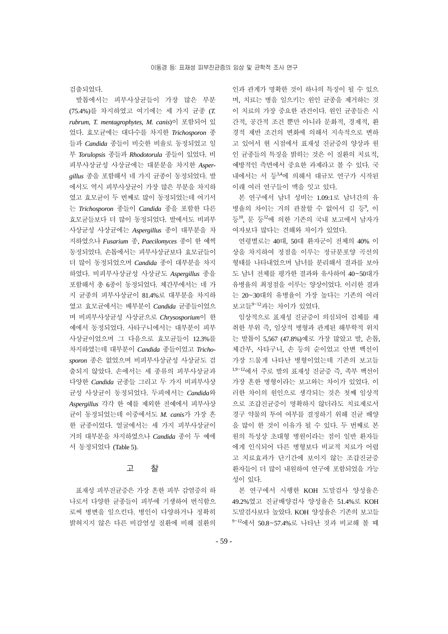검출되었다.

발톱에서는 피부사상균들이 가장 많은 부분 (75.4%)를 차지하였고 여기에는 세 가지 균종 (*T. rubrum*, *T. mentagrophytes*, *M. canis*)이 포함되어 있 었다. 효모균에는 대다수를 차지한 *Trichosporon* 종 들과 *Candida* 종들이 비슷한 비율로 동정되었고 일 부 *Torulopsis* 종들과 *Rhodotorula* 종들이 있었다. 비 피부사상균성 사상균에는 대분분을 차지한 *Aspergillus* 종을 포함해서 네 가지 균종이 동정되었다. 발 에서도 역시 피부사상균이 가장 많은 부분을 차지하 였고 효모균이 두 번째로 많이 동정되었는데 여기서 는 *Trichosporon* 종들이 *Candida* 종을 포함한 다른 효모균들보다 더 많이 동정되었다. 발에서도 비피부 사상균성 사상균에는 *Aspergillus* 종이 대부분을 차 지하였으나 *Fusarium* 종, *Paecilomyces* 종이 한 예씩 동정되었다. 손톱에서는 피부사상균보다 효모균들이 더 많이 동정되었으며 *Candida* 종이 대부분을 차지 하였다. 비피부사상균성 사상균도 *Aspergillus* 종을 포함해서 총 6종이 동정되었다. 체간부에서는 네 가 지 균종의 피부사상균이 81.4%로 대부분을 차지하 였고 효모균에서는 배부분이 *Candida* 균종들이었으 며 비피부사상균성 사상균으로 *Chrysosporium*이 한 예에서 동정되었다. 사타구니에서는 대부분이 피부 사상균이었으며 그 다음으로 효모균들이 12.3%를 차지하였는데 대부분이 *Candida* 종들이었고 *Trichosporon* 종은 없었으며 비피부사상균성 사상균도 검 출되지 않았다. 손에서는 세 종류의 피부사상균과 다양한 *Candida* 균종들 그리고 두 가지 비피부사상 균성 사상균이 동정되었다. 두피에서는 *Candida*와 *Aspergillus* 각각 한 예를 제외한 전예에서 피부사상 균이 동정되었는데 이중에서도 *M. canis*가 가장 흔 한 균종이었다. 얼굴에서는 세 가지 피부사상균이 거의 대부분을 차지하였으나 *Candida* 종이 두 예에 서 동정되었다 (Table 5).

# 고 찰

표재성 피부진균증은 가장 흔한 피부 감염증의 하 나로서 다양한 균종들이 피부에 기생하여 번식함으 로써 병변을 일으킨다. 병인이 다양하거나 정확히 밝혀지지 않은 다른 비감염성 질환에 비해 질환의 인과 관계가 명확한 것이 하나의 특징이 될 수 있으 며, 치료는 병을 일으키는 원인 균종을 제거하는 것 이 치료의 가장 중요한 관건이다. 원인 균종들은 시 간적, 공간적 조건 뿐만 아니라 문화적, 경제적, 환 경적 제반 조건의 변화에 의해서 지속적으로 변하 고 있어서 현 시점에서 표재성 진균증의 양상과 원 인 균종들의 특징을 밝히는 것은 이 질환의 치료적, 예방적인 측면에서 중요한 과제라고 볼 수 있다. 국 내에서는 서 등3,4에 의해서 대규모 연구가 시작된 이래 여러 연구들이 맥을 잇고 있다.

본 연구에서 남녀 성비는 1.09:1로 남녀간의 유 병율의 차이는 거의 관찰할 수 없어서 김 등9, 이 등10, 문 등<sup>12</sup>에 의한 기존의 국내 보고에서 남자가 여자보다 많다는 견해와 차이가 있었다.

연령별로는 40대, 50대 환자군이 전체의 40% 이 상을 차지하여 정점을 이루는 정규분포양 곡선의 형태를 나타내었으며 남녀를 분리해서 결과를 보아 도 남녀 전체를 평가한 결과와 유사하여 40~50대가 유병율의 최정점을 이루는 양상이었다. 이러한 결과 는 20~30대의 유병율이 가장 높다는 기존의 여러 보고들<sup>9</sup>~<sup>12</sup>과는 차이가 있었다.

임상적으로 표재성 진균증이 의심되어 검체를 채 취한 부위 즉, 임상적 병형과 관계된 해부학적 위치 는 발톱이 5,567 (47.8%)예로 가장 많았고 발, 손톱, 체간부, 사타구니, 손 등의 순이었고 안변 백선이 가장 드물게 나타난 병형이었는데 기존의 보고들 1,9~<sup>12</sup>에서 주로 발의 표재성 진균증 즉, 족부 백선이 가장 흔한 병형이라는 보고와는 차이가 있었다. 이 러한 차이의 원인으로 생각되는 것은 첫째 임상적 으로 조갑진균증이 명확하지 않더라도 치료제로서 경구 약물의 투여 여부를 결정하기 위해 진균 배양 을 많이 한 것이 이유가 될 수 있다. 두 번째로 본 원의 특성상 초대형 병원이라는 점이 일반 환자들 에게 인식되어 다른 병형보다 비교적 치료가 어렵 고 치료효과가 단기간에 보이지 않는 조갑진균증 환자들이 더 많이 내원하여 연구에 포함되었을 가능 성이 있다.

본 연구에서 시행한 KOH 도말검사 양성율은 49.2%였고 진균배양검사 양성율은 51.4%로 KOH 도말검사보다 높았다. KOH 양성율은 기존의 보고들 <sup>9</sup>~<sup>12</sup>에서 50.8~57.4%로 나타난 것과 비교해 볼 때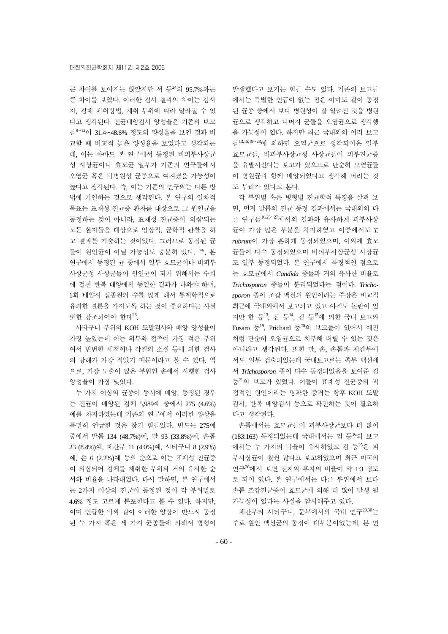큰 차이를 보이지는 않았지만 서 등<sup>24</sup>의 95.7%와는 큰 차이를 보였다. 이러한 검사 결과의 차이는 검사 자, 검체 채취방법, 채취 부위에 따라 달라질 수 있 다고 생각된다. 진균배양검사 양성율은 기존의 보고 들<sup>9</sup>~<sup>12</sup>이 31.4~48.6% 정도의 양성율을 보인 것과 비 교할 때 비교적 높은 양성율을 보였다고 생각되는 데, 이는 아마도 본 연구에서 동정된 비피부사상균 성 사상균이나 효모균 일부가 기존의 연구들에서 오염균 혹은 비병원성 균종으로 여겨졌을 가능성이 높다고 생각된다. 즉, 이는 기존의 연구와는 다른 방 법에 기인하는 것으로 생각된다. 본 연구의 일차적 목표는 표재성 진균증 환자를 대상으로 그 원인균을 동정하는 것이 아니라, 표재성 진균증이 '의심'되는 모든 환자들을 대상으로 임상적, 균학적 관찰을 하 고 결과를 기술하는 것이었다. 그러므로 동정된 균 들이 원인균이 아닐 가능성도 충분히 있다. 즉, 본 연구에서 동정된 균 중에서 일부 효모균이나 비피부 사상균성 사상균들이 원인균이 되기 위해서는 수회 에 걸친 반복 배양에서 동일한 결과가 나와야 하며, 1회 배양시 접종원의 수를 많게 해서 통계학적으로 유의한 결론을 가지도록 하는 것이 중요하다는 사실 또한 강조되어야 한다<sup>23</sup>.

사타구니 부위의 KOH 도말검사와 배양 양성율이 가장 높았는데 이는 외부와 접촉이 가장 적은 부위 여서 빈번한 세척이나 각질의 소실 등에 의한 검사 의 방해가 가장 적었기 때문이라고 볼 수 있다. 역 으로, 가장 노출이 많은 부위인 손에서 시행한 검사 양성율이 가장 낮았다.

두 가지 이상의 균종이 동시에 배양, 동정된 경우 는 진균이 배양된 검체 5,989예 중에서 275 (4.6%) 예를 차지하였는데 기존의 연구에서 이러한 양상을 특별히 언급한 것은 찾기 힘들었다. 빈도는 275예 중에서 발톱 134 (48.7%)예, 발 93 (33.8%)예, 손톱 23 (8.4%)예, 체간부 11 (4.0%)예, 사타구니 8 (2.9%) 예, 손 6 (2.2%)예 등의 순으로 이는 표재성 진균증 이 의심되어 검체를 체취한 부위와 거의 유사한 순 서와 비율을 나타내었다. 다시 말하면, 본 연구에서 는 2가지 이상의 진균이 동정된 것이 각 부위별로 4.6% 정도 고르게 분포한다고 볼 수 있다. 하지만, 이미 언급한 바와 같이 이러한 양상이 반드시 동정 된 두 가지 혹은 세 가지 균종들에 의해서 병형이 발생했다고 보기는 힘들 수도 있다. 기존의 보고들 에서는 특별한 언급이 없는 점은 아마도 같이 동정 된 균종 중에서 보다 병원성이 잘 알려진 것을 병원 균으로 생각하고 나머지 균들을 오염균으로 생각했 을 가능성이 있다. 하지만 최근 국내외의 여러 보고 들13,15,19~<sup>23</sup>에 의하면 오염균으로 생각되어온 일부 효모균들, 비피부사상균성 사상균들이 피부진균증 을 유발시킨다는 보고가 있으므로 단순히 오염균들 이 병원균과 함께 배양되었다고 생각해 버리는 것 도 무리가 있다고 본다.

각 부위별 혹은 병형별 진균학적 특징을 살펴 보 면, 먼저 발톱의 진균 동정 결과에서는 국내외의 다 른 연구들16,25~<sup>27</sup>에서의 결과와 유사하게 피부사상 균이 가장 많은 부분을 차지하였고 이중에서도 *T. rubrum*이 가장 흔하게 동정되었으며, 이외에 효모 균들이 다수 동정되었으며 비피부사상균성 사상균 도 일부 동정되었다. 본 연구에서 특징적인 점으로 는 효모균에서 *Candida* 종들과 거의 유사한 비율로 *Trichosporon* 종들이 분리되었다는 점이다. *Trichosporon* 종이 조갑 백선의 원인이라는 주장은 비교적 최근에 국내외에서 보고되고 있고 아직도 논란이 있 지만 한 등13, 김 등14, 김 등<sup>15</sup>에 의한 국내 보고와 Fusaro 등19, Prichard 등<sup>20</sup>의 보고들이 있어서 예전 처럼 단순히 오염균으로 치부해 버릴 수 있는 것은 아니라고 생각된다. 또한 발, 손, 손톱과 체간부에 서도 일부 검출되었는데 국내보고로는 족부 백선에 서 *Trichosporon* 종이 다수 동정되었음을 보여준 김 등<sup>21</sup>의 보고가 있었다. 이들이 표재성 진균증의 직 접적인 원인이라는 명확한 증거는 향후 KOH 도말 검사, 반복 배양검사 등으로 확진하는 것이 필요하 다고 생각된다.

손톱에서는 효모균들이 피부사상균보다 더 많이 (183:163) 동정되었는데 국내에서는 임 등<sup>16</sup>의 보고 에서는 두 가지의 비율이 유사하였고 김 등<sup>25</sup>은 피 부사상균이 훨씬 많다고 보고하였으며 최근 미국의 연구<sup>26</sup>에서 보면 전자와 후자의 비율이 약 1:3 정도 로 되어 있다. 본 연구에서는 다른 부위에서 보다 손톱 조갑진균증이 효모균에 의해 더 많이 발생 될 가능성이 있다는 사실을 암시해주고 있다.

체간부와 사타구니, 둔부에서의 국내 연구29,30는 주로 원인 백선균의 동정이 대부분이었는데, 본 연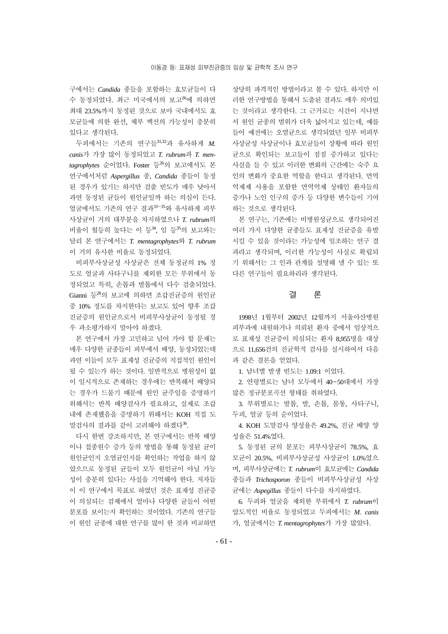구에서는 *Candida* 종들을 포함하는 효모균들이 다 수 동정되었다. 최근 미국에서의 보고<sup>26</sup>에 의하면 최대 23.5%까지 동정된 것으로 보아 국내에서도 효 모균들에 의한 완선, 체부 백선의 가능성이 충분히 있다고 생각된다.

두피에서는 기존의 연구들31,32과 유사하게 *M. canis*가 가장 많이 동정되었고 *T. rubrum*과 *T. mentagrophytes* 순이었다. Foster 등<sup>26</sup>의 보고에서도 본 연구에서처럼 *Aspergillus* 종, *Candida* 종들이 동정 된 경우가 있기는 하지만 검출 빈도가 매우 낮아서 과연 동정된 균들이 원인균일까 하는 의심이 든다. 얼굴에서도 기존의 연구 결과<sup>33~35</sup>와 유사하게 피부 사상균이 거의 대부분을 차지하였으나 *T. rubrum*의 비율이 월등히 높다는 이 등<sup>34</sup>, 임 등<sup>35</sup>의 보고와는 달리 본 연구에서는 *T. mentagrophytes*와 *T. rubrum* 이 거의 유사한 비율로 동정되었다.

비피부사상균성 사상균은 전체 동정균의 1% 정 도로 얼굴과 사타구니를 제외한 모든 부위에서 동 정되었고 특히, 손톱과 발톱에서 다수 검출되었다. Gianni 등<sup>28</sup>의 보고에 의하면 조갑진균증의 원인균 중 10% 정도를 차지한다는 보고도 있어 향후 조갑 진균증의 원인균으로서 비피부사상균이 동정될 경 우 과소평가하지 말아야 하겠다.

본 연구에서 가장 고민하고 넘어 가야 할 문제는 매우 다양한 균종들이 피부에서 배양, 동정되었는데 과연 이들이 모두 표재성 진균증의 직접적인 원인이 될 수 있는가 하는 것이다. 일반적으로 병원성이 없 이 일시적으로 존재하는 경우에는 반복해서 배양되 는 경우가 드물기 때문에 원인 균주임을 증명하기 위해서는 반복 배양검사가 필요하고, 실제로 조갑 내에 존재했음을 증명하기 위해서는 KOH 직접 도 말검사의 결과를 같이 고려해야 하겠다<sup>36</sup>.

다시 한번 강조하지만, 본 연구에서는 반복 배양 이나 접종원수 증가 등의 방법을 통해 동정된 균이 원인균인지 오염균인지를 확인하는 작업을 하지 않 았으므로 동정된 균들이 모두 원인균이 아닐 가능 성이 충분히 있다는 사실을 기억해야 한다. 저자들 이 이 연구에서 목표로 하였던 것은 표재성 진균증 이 의심되는 검체에서 얼마나 다양한 균들이 어떤 분포를 보이는지 확인하는 것이었다. 기존의 연구들 이 원인 균종에 대한 연구를 많이 한 것과 비교하면 상당히 파격적인 방법이라고 볼 수 있다. 하지만 이 러한 연구방법을 통해서 도출된 결과도 매우 의미있 는 것이라고 생각한다. 그 근거로는 시간이 지나면 서 원인 균종의 범위가 더욱 넓어지고 있는데, 예를 들어 예전에는 오염균으로 생각되었던 일부 비피부 사상균성 사상균이나 효모균들이 상황에 따라 원인 균으로 확인되는 보고들이 점점 증가하고 있다는 사실을 들 수 있고 이러한 변화의 근간에는 숙주 요 인의 변화가 중요한 역할을 한다고 생각된다. 면역 억제제 사용을 포함한 면역억제 상태인 환자들의 증가나 노인 인구의 증가 등 다양한 변수들이 기여 하는 것으로 생각된다.

본 연구는, 기존에는 비병원성균으로 생각되어진 여러 가지 다양한 균종들도 표재성 진균증을 유발 시킬 수 있을 것이라는 가능성에 일조하는 연구 결 과라고 생각되며, 이러한 가능성이 사실로 확립되 기 위해서는 그 인과 관계를 설명해 낼 수 있는 또 다른 연구들이 필요하리라 생각된다.

# 결 론

1998년 1월부터 2002년 12월까지 서울아산병원 피부과에 내원하거나 의뢰된 환자 중에서 임상적으 로 표재성 진균증이 의심되는 환자 8,955명을 대상 으로 11,656건의 진균학적 검사를 실시하여서 다음 과 같은 결론을 얻었다.

1. 남녀별 발생 빈도는 1.09:1 이었다.

2. 연령별로는 남녀 모두에서 40~50대에서 가장 많은 정규분포곡선 형태를 취하였다.

3. 부위별로는 발톱, 발, 손톱, 몸통, 사타구니, 두피, 얼굴 등의 순이었다.

4. KOH 도말검사 양성율은 49.2%, 진균 배양 양 성율은 51.4%였다.

5. 동정된 균의 분포는 피부사상균이 78.5%, 효 모균이 20.5%, 비피부사상균성 사상균이 1.0%였으 며, 피부사상균에는 *T. rubrum*이 효모균에는 *Candida*  종들과 *Trichosporon* 종들이 비피부사상균성 사상 균에는 *Aspegillus* 종들이 다수를 차지하였다.

6. 두피와 얼굴을 제외한 부위에서 *T. rubrum*이 압도적인 비율로 동정되었고 두피에서는 *M. canis* 가, 얼굴에서는 *T. mentagrophytes*가 가장 많았다.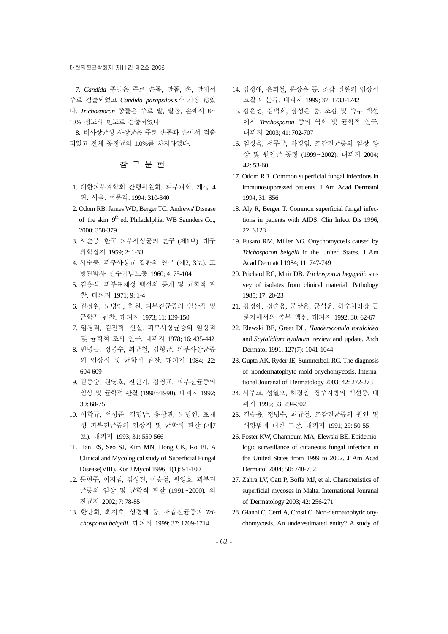#### 대한의진균학회지 제11권 제2호 2006

7. *Candida* 종들은 주로 손톱, 발톱, 손, 발에서 주로 검출되었고 *Candida parapsilosis*가 가장 많았 다. *Trichosporon* 종들은 주로 발, 발톱, 손에서 8~ 10% 정도의 빈도로 검출되었다.

8. 비사상균성 사상균은 주로 손톱과 손에서 검출 되었고 전체 동정균의 1.0%를 차지하였다.

# 참 고 문 헌

- 1. 대한피부과학회 간행위원회. 피부과학. 개정 4 판. 서울. 여문각. 1994: 310-340
- 2. Odom RB, James WD, Berger TG. Andrews' Disease of the skin. 9<sup>th</sup> ed. Philadelphia: WB Saunders Co., 2000: 358-379
- 3. 서순봉. 한국 피부사상균의 연구 (제1보). 대구 의학잡지 1959; 2: 1-33
- 4. 서순봉. 피부사상균 질환의 연구 (제2, 3보). 고 병관박사 헌수기념노총 1960; 4: 75-104
- 5. 김홍식. 피부표재성 백선의 통계 및 균학적 관 찰. 대피지 1971; 9: 1-4
- 6. 김정원, 노병인, 허원. 피부진균증의 임상적 및 균학적 관찰. 대피지 1973; 11: 139-150
- 7. 임경직, 김진혁, 신실. 피부사상균증의 임상적 및 균학적 조사 연구. 대피지 1978; 16: 435-442
- 8. 민병근, 정병수, 최규철, 김형균. 피부사상균증 의 임상적 및 균학적 관찰. 대피지 1984; 22: 604-609
- 9. 김종순, 원영호, 전인기, 김영표. 피부진균증의 임상 및 균학적 관찰 (1998~1990). 대피지 1992; 30: 68-75
- 10. 이학규, 서성준, 김명남, 홍창권, 노병인. 표재 성 피부진균증의 임상적 및 균학적 관찰 (제7 보). 대피지 1993; 31: 559-566
- 11. Han ES, Seo SJ, Kim MN, Hong CK, Ro BI. A Clinical and Mycological study of Superficial Fungal Disease(VIII). Kor J Mycol 1996; 1(1): 91-100
- 12. 문현주, 이지범, 김성진, 이승철, 원영호. 피부진 균증의 임상 및 균학적 관찰 (1991~2000). 의 진균지 2002; 7: 78-85
- 13. 한만희, 최지호, 성경제 등. 조갑진균증과 *Trichosporon beigelii*. 대피지 1999; 37: 1709-1714
- 14. 김정애, 은희철, 문상은 등. 조갑 질환의 임상적 고찰과 분류. 대피지 1999; 37: 1733-1742
- 15. 김은성, 김덕희, 장성은 등. 조갑 및 족부 백선 에서 *Trichosporon* 종의 역학 및 균학적 연구. 대피지 2003; 41: 702-707
- 16. 임성욱, 서무규, 하경임. 조갑진균증의 임상 양 상 및 원인균 동정 (1999~2002). 대피지 2004; 42: 53-60
- 17. Odom RB. Common superficial fungal infections in immunosuppressed patients. J Am Acad Dermatol 1994, 31: S56
- 18. Aly R, Berger T. Common superficial fungal infections in patients with AIDS. Clin Infect Dis 1996, 22: S128
- 19. Fusaro RM, Miller NG. Onychomycosis caused by *Trichosporon beigelii* in the United States. J Am Acad Dermatol 1984; 11: 747-749
- 20. Prichard RC, Muir DB. *Trichosporon begigelii*: survey of isolates from clinical material. Pathology 1985; 17: 20-23
- 21. 김정애, 정승용, 문상은, 군석운. 하수처리장 근 로자에서의 족부 백선. 대피지 1992; 30: 62-67
- 22. Elewski BE, Greer DL. *Handersoonula toruloidea* and *Scytalidium hyalnum*: review and update. Arch Dermatol 1991; 127(7): 1041-1044
- 23. Gupta AK, Ryder JE, Summerbell RC. The diagnosis of nondermatophyte mold onychomycosis. International Jouranal of Dermatology 2003; 42: 272-273
- 24. 서무교, 성열오, 하경임. 경주지방의 백선증. 대 피지 1995; 33: 294-302
- 25. 김승용, 정병수, 최규철. 조갑진균증의 원인 및 배양법에 대한 고찰. 대피지 1991; 29: 50-55
- 26. Foster KW, Ghannoum MA, Elewski BE. Epidemiologic surveillance of cutaneous fungal infection in the United States from 1999 to 2002. J Am Acad Dermatol 2004; 50: 748-752
- 27. Zahra LV, Gatt P, Boffa MJ, et al. Characteristics of superficial mycoses in Malta. International Jouranal of Dermatology 2003; 42: 256-271
- 28. Gianni C, Cerri A, Crosti C. Non-dermatophytic onychomycosis. An underestimated entity? A study of